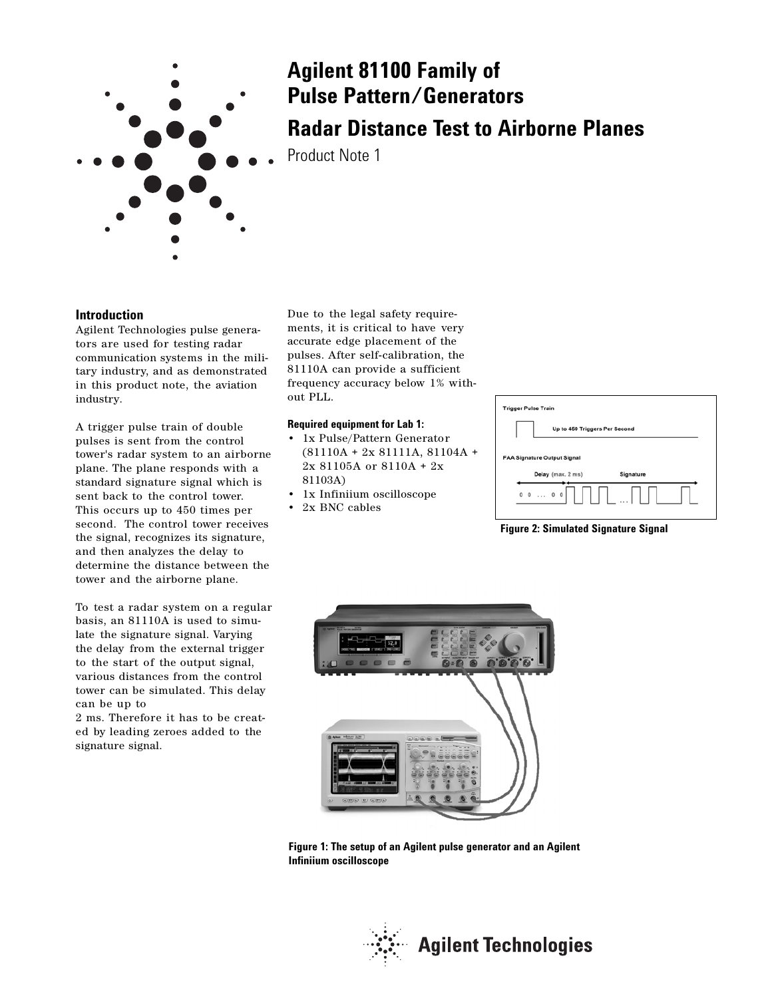

## **Agilent 81100 Family of Pulse Pattern/Generators**

**Radar Distance Test to Airborne Planes**

Product Note 1

## **Introduction**

Agilent Technologies pulse generators are used for testing radar communication systems in the military industry, and as demonstrated in this product note, the aviation industry.

A trigger pulse train of double pulses is sent from the control tower's radar system to an airborne plane. The plane responds with a standard signature signal which is sent back to the control tower. This occurs up to 450 times per second. The control tower receives the signal, recognizes its signature, and then analyzes the delay to determine the distance between the tower and the airborne plane.

To test a radar system on a regular basis, an 81110A is used to simulate the signature signal. Varying the delay from the external trigger to the start of the output signal, various distances from the control tower can be simulated. This delay can be up to

2 ms. Therefore it has to be created by leading zeroes added to the signature signal.

Due to the legal safety requirements, it is critical to have very accurate edge placement of the pulses. After self-calibration, the 81110A can provide a sufficient frequency accuracy below 1% without PLL.

#### **Required equipment for Lab 1:**

- 1x Pulse/Pattern Generator (81110A + 2x 81111A, 81104A + 2x 81105A or 8110A + 2x 81103A)
- 1x Infiniium oscilloscope
- 2x BNC cables

| <b>Trigger Pulse Train</b> |                                        |           |  |
|----------------------------|----------------------------------------|-----------|--|
|                            | Up to 450 Triggers Per Second          |           |  |
|                            | <b>FAA Signature Output Signal</b>     |           |  |
|                            | Delay (max. 2 ms)                      | Signature |  |
|                            | $\circ \circ \dots \circ \circ$ $\Box$ |           |  |

**Figure 2: Simulated Signature Signal**



**Figure 1: The setup of an Agilent pulse generator and an Agilent Infiniium oscilloscope**

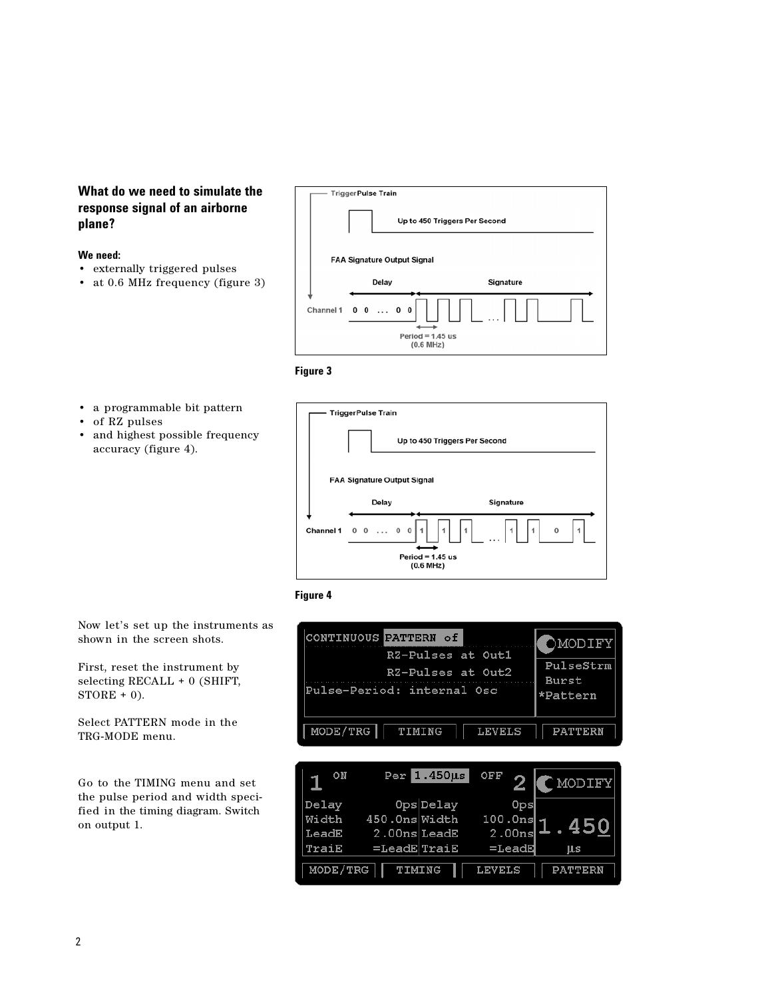## **What do we need to simulate the response signal of an airborne plane?**

## **We need:**

- externally triggered pulses
- at 0.6 MHz frequency (figure 3)



**Figure 3**

- a programmable bit pattern
- of RZ pulses
- and highest possible frequency accuracy (figure 4).





Now let's set up the instruments as shown in the screen shots.

First, reset the instrument by selecting RECALL + 0 (SHIFT,  $STORE + 0$ ).

Select PATTERN mode in the TRG-MODE menu.

Go to the TIMING menu and set the pulse period and width specified in the timing diagram. Switch on output 1.

| CONTINUOUS PATTERN of               | OMODIFY      |
|-------------------------------------|--------------|
| RZ-Pulses at Outl                   | PulseStrm    |
| RZ-Pulses at Out2                   | <b>Burst</b> |
| Pulse-Period: internal Osc          | *Pattern     |
| MODE/TRG<br><b>LEVELS</b><br>TIMING | PATTERN      |

| ON       |                 | $Per$ 1.450 $\mu s$ | OFF             | NODIFY)        |
|----------|-----------------|---------------------|-----------------|----------------|
| Delay    |                 | OpsDelay            | 0 <sub>ps</sub> |                |
| Width    | 450.0ns Width   |                     | 100.0ns         | .450           |
| LeadE    | $2.00ns$ LeadE  |                     | 2.00ns          |                |
| TraiE    | $=$ LeadE TraiE |                     | $=$ LeadE       | μs             |
| MODE/TRG | TIMING          |                     | <b>LEVELS</b>   | <b>PATTERN</b> |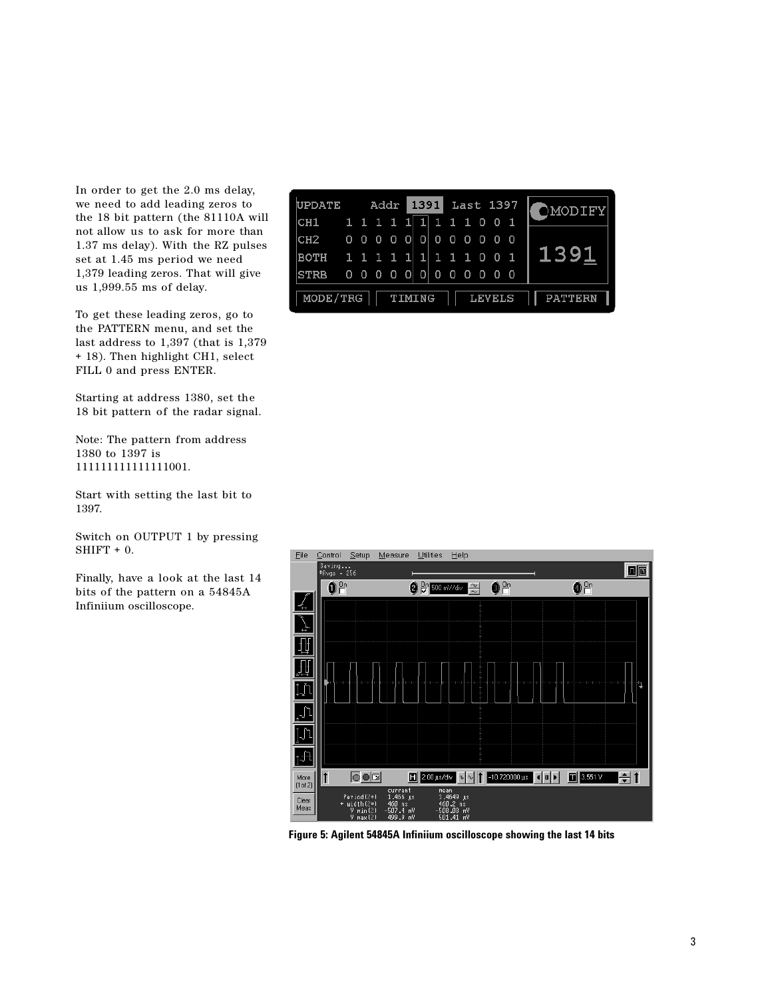In order to get the 2.0 ms delay, we need to add leading zeros to the 18 bit pattern (the 81110A will not allow us to ask for more than 1.37 ms delay). With the RZ pulses set at 1.45 ms period we need 1,379 leading zeros. That will give us 1,999.55 ms of delay.

To get these leading zeros, go to the PATTERN menu, and set the last address to 1,397 (that is 1,379 + 18). Then highlight CH1, select FILL 0 and press ENTER.

Starting at address 1380, set the 18 bit pattern of the radar signal.

Note: The pattern from address 1380 to 1397 is 111111111111111001.

Start with setting the last bit to 1397.

Switch on OUTPUT 1 by pressing  $SHIFT + 0.$ 

Finally, have a look at the last 14 bits of the pattern on a 54845A Infiniium oscilloscope.

| <b>UPDATE</b>   |   |     | Addr                     |        |                |          | 1391    | Last 1397 |           |               |                |     | OMODIFY        |  |
|-----------------|---|-----|--------------------------|--------|----------------|----------|---------|-----------|-----------|---------------|----------------|-----|----------------|--|
| CH1             |   |     | 1 1 1 1 1 1              |        |                |          | 1 1 1 0 |           |           |               | $\Omega$       |     |                |  |
| CH <sub>2</sub> |   |     | $0\quad 0\quad 0\quad 0$ |        | $\blacksquare$ | -OI      | 0       | 000       |           |               | 0 <sub>0</sub> |     |                |  |
| <b>BOTH</b>     |   |     | 1 1 1 1 1 1              |        |                |          | 1110    |           |           |               | 0 <sub>1</sub> |     | 139            |  |
| <b>STRB</b>     | 0 | - 0 | 0 <sub>0</sub>           |        | $\Omega$       | $\Omega$ | 0       | 0         | $\bullet$ | -0            | - 0            | - 0 |                |  |
| MODE/TRG        |   |     |                          | TIMING |                |          |         |           |           | <b>LEVELS</b> |                |     | <b>PATTERN</b> |  |



**Figure 5: Agilent 54845A Infiniium oscilloscope showing the last 14 bits**